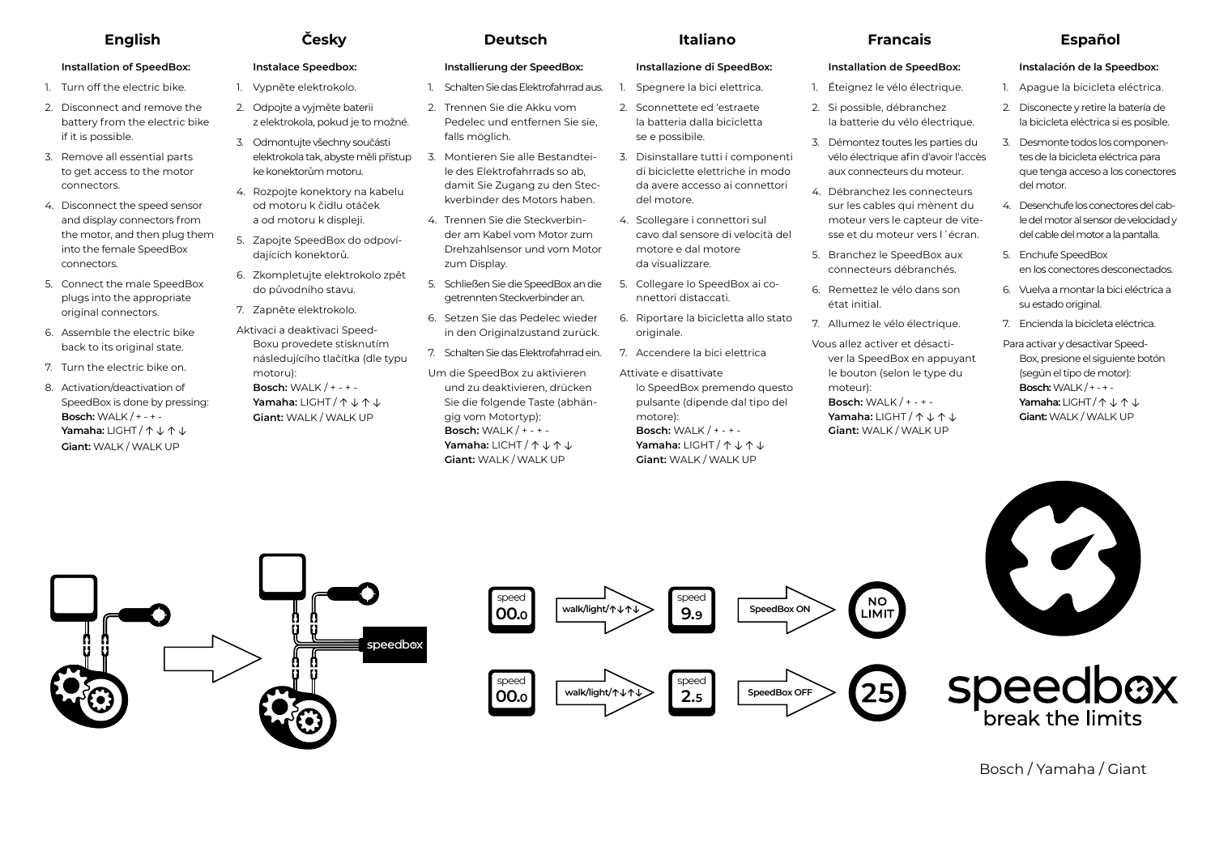# **Installation of SpeedBox:**

- 1 Turn off the electric bike.
- 2. Disconnect and remove the battery from the electric bike if it is possible.
- 3. Remove all essential parts to get access to the motor connectors.
- 4. Disconnect the speed sensor and display connectors from the motor, and then plug them into the female SpeedBox connectors.
- 5. Connect the male SpeedBox plugs into the appropriate original connectors.
- 6. Assemble the electric bike back to its original state.
- 7. Turn the electric bike on.
- 8. Activation/deactivation of SpeedBox is done by pressing: **Bosch:** WALK / + - + - **Yamaha:** LIGHT / ↑ ↓ ↑ ↓ **Giant:** WALK / WALK UP

# **Instalace Speedbox:**

- 1. Vypněte elektrokolo.
- 2. Odpojte a vyjměte baterii z elektrokola, pokud je to možné.
- 3. Odmontujte všechny součásti elektrokola tak, abyste měli přístup ke konektorům motoru.
- 4. Rozpojte konektory na kabelu od motoru k čidlu otáček a od motoru k displeji.
- 5. Zapojte SpeedBox do odpovídajících konektorů.
- 6. Zkompletujte elektrokolo zpět do původního stavu.
- 7. Zapněte elektrokolo.
- Aktivaci a deaktivaci Speed-Boxu provedete stisknutím následujícího tlačítka (dle typu motoru): **Bosch:** WALK / + - + - **Yamaha:** LIGHT / ↑ ↓ ↑ ↓ **Giant:** WALK / WALK UP

# **English Česky Deutsch Italiano Francais Español**

# **Installierung der SpeedBox:**

- 1. Schalten Sie das Elektrofahrrad aus.
- 2. Trennen Sie die Akku vom Pedelec und entfernen Sie sie, falls möglich.
- 3. Montieren Sie alle Bestandteile des Elektrofahrrads so ab, damit Sie Zugang zu den Steckverbinder des Motors haben.
- 4. Trennen Sie die Steckverbinder am Kabel vom Motor zum Drehzahlsensor und vom Motor zum Display.
- 5. Schließen Sie die SpeedBox an die getrennten Steckverbinder an.
- 6. Setzen Sie das Pedelec wieder in den Originalzustand zurück.
- 7. Schalten Sie das Elektrofahrrad ein.
- Um die SpeedBox zu aktivieren und zu deaktivieren, drücken Sie die folgende Taste (abhängig vom Motortyp): **Bosch:** WALK / + - + - **Yamaha:** LICHT / ↑ ↓ ↑ ↓ **Giant:** WALK / WALK UP

# **Installazione di SpeedBox:**

- 1. Spegnere la bici elettrica.
- 2. Sconnettete ed 'estraete la batteria dalla bicicletta se e possibile.
- 3. Disinstallare tutti i componenti di biciclette elettriche in modo da avere accesso ai connettori del motore.
- 4. Scollegare i connettori sul cavo dal sensore di velocità del motore e dal motore da visualizzare.
- 5. Collegare lo SpeedBox ai connettori distaccati.
- 6. Riportare la bicicletta allo stato originale.
	- 7. Accendere la bici elettrica Attivate e disattivate lo SpeedBox premendo questo pulsante (dipende dal tipo del motore): **Bosch:** WALK / + - + - **Yamaha:** LIGHT / ↑ ↓ ↑ ↓ **Giant:** WALK / WALK UP

# **Installation de SpeedBox:**

- 1. Éteignez le vélo électrique.
- 2. Si possible, débranchez la batterie du vélo électrique.
- 3. Démontez toutes les parties du vélo électrique afin d'avoir l'accès aux connecteurs du moteur.
- 4. Débranchez les connecteurs sur les cables qui mènent du moteur vers le capteur de vitesse et du moteur vers l'écran.
- 5. Branchez le SpeedBox aux connecteurs débranchés.
- 6. Remettez le vélo dans son état initial.
- 7. Allumez le vélo électrique.

Vous allez activer et désactiver la SpeedBox en appuyant le bouton (selon le type du moteur): **Bosch:** WALK / + - + - **Yamaha:** LIGHT / ↑ ↓ ↑ ↓ **Giant:** WALK / WALK UP

# **Instalación de la Speedbox:**

- 1. Apague la bicicleta eléctrica.
- 2. Disconecte y retire la batería de la bicicleta eléctrica si es posible.
- 3. Desmonte todos los componentes de la bicicleta eléctrica para que tenga acceso a los conectores del motor.
- 4. Desenchufe los conectores del cable del motor al sensor de velocidad y del cable del motor a la pantalla.
- 5. Enchufe SpeedBox en los conectores desconectados.
- 6. Vuelva a montar la bici eléctrica a su estado original.
- 7. Encienda la bicicleta eléctrica.
- Para activar y desactivar Speed-Box, presione el siguiente botón (según el tipo de motor): **Bosch:** WALK / + - + - **Yamaha:** LIGHT / ↑ ↓ ↑ ↓ **Giant:** WALK / WALK UP





Bosch / Yamaha / Giant